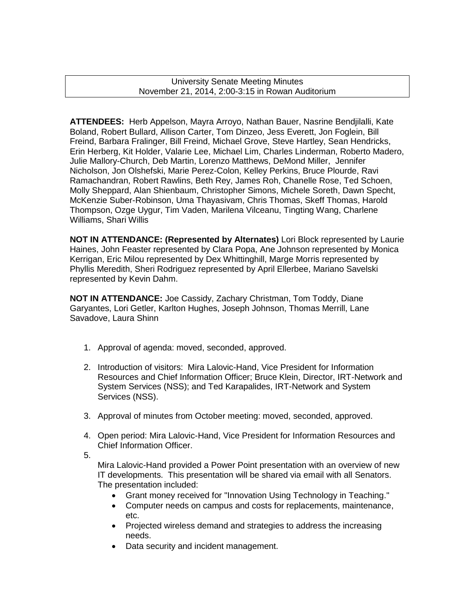University Senate Meeting Minutes November 21, 2014, 2:00-3:15 in Rowan Auditorium

**ATTENDEES:** Herb Appelson, Mayra Arroyo, Nathan Bauer, Nasrine Bendjilalli, Kate Boland, Robert Bullard, Allison Carter, Tom Dinzeo, Jess Everett, Jon Foglein, Bill Freind, Barbara Fralinger, Bill Freind, Michael Grove, Steve Hartley, Sean Hendricks, Erin Herberg, Kit Holder, Valarie Lee, Michael Lim, Charles Linderman, Roberto Madero, Julie Mallory-Church, Deb Martin, Lorenzo Matthews, DeMond Miller, Jennifer Nicholson, Jon Olshefski, Marie Perez-Colon, Kelley Perkins, Bruce Plourde, Ravi Ramachandran, Robert Rawlins, Beth Rey, James Roh, Chanelle Rose, Ted Schoen, Molly Sheppard, Alan Shienbaum, Christopher Simons, Michele Soreth, Dawn Specht, McKenzie Suber-Robinson, Uma Thayasivam, Chris Thomas, Skeff Thomas, Harold Thompson, Ozge Uygur, Tim Vaden, Marilena Vilceanu, Tingting Wang, Charlene Williams, Shari Willis

**NOT IN ATTENDANCE: (Represented by Alternates)** Lori Block represented by Laurie Haines, John Feaster represented by Clara Popa, Ane Johnson represented by Monica Kerrigan, Eric Milou represented by Dex Whittinghill, Marge Morris represented by Phyllis Meredith, Sheri Rodriguez represented by April Ellerbee, Mariano Savelski represented by Kevin Dahm.

**NOT IN ATTENDANCE:** Joe Cassidy, Zachary Christman, Tom Toddy, Diane Garyantes, Lori Getler, Karlton Hughes, Joseph Johnson, Thomas Merrill, Lane Savadove, Laura Shinn

- 1. Approval of agenda: moved, seconded, approved.
- 2. Introduction of visitors: Mira Lalovic-Hand, Vice President for Information Resources and Chief Information Officer; Bruce Klein, Director, IRT-Network and System Services (NSS); and Ted Karapalides, IRT-Network and System Services (NSS).
- 3. Approval of minutes from October meeting: moved, seconded, approved.
- 4. Open period: Mira Lalovic-Hand, Vice President for Information Resources and Chief Information Officer.

5.

Mira Lalovic-Hand provided a Power Point presentation with an overview of new IT developments. This presentation will be shared via email with all Senators. The presentation included:

- Grant money received for "Innovation Using Technology in Teaching."
- Computer needs on campus and costs for replacements, maintenance, etc.
- Projected wireless demand and strategies to address the increasing needs.
- Data security and incident management.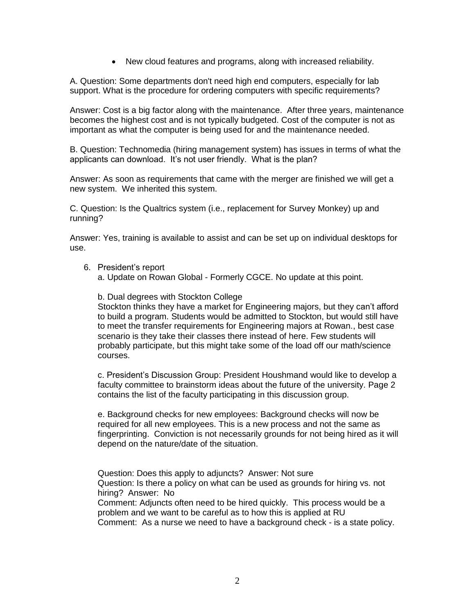New cloud features and programs, along with increased reliability.

A. Question: Some departments don't need high end computers, especially for lab support. What is the procedure for ordering computers with specific requirements?

Answer: Cost is a big factor along with the maintenance. After three years, maintenance becomes the highest cost and is not typically budgeted. Cost of the computer is not as important as what the computer is being used for and the maintenance needed.

B. Question: Technomedia (hiring management system) has issues in terms of what the applicants can download. It's not user friendly. What is the plan?

Answer: As soon as requirements that came with the merger are finished we will get a new system. We inherited this system.

C. Question: Is the Qualtrics system (i.e., replacement for Survey Monkey) up and running?

Answer: Yes, training is available to assist and can be set up on individual desktops for use.

6. President's report

a. Update on Rowan Global - Formerly CGCE. No update at this point.

b. Dual degrees with Stockton College

Stockton thinks they have a market for Engineering majors, but they can't afford to build a program. Students would be admitted to Stockton, but would still have to meet the transfer requirements for Engineering majors at Rowan., best case scenario is they take their classes there instead of here. Few students will probably participate, but this might take some of the load off our math/science courses.

c. President's Discussion Group: President Houshmand would like to develop a faculty committee to brainstorm ideas about the future of the university. Page 2 contains the list of the faculty participating in this discussion group.

e. Background checks for new employees: Background checks will now be required for all new employees. This is a new process and not the same as fingerprinting. Conviction is not necessarily grounds for not being hired as it will depend on the nature/date of the situation.

Question: Does this apply to adjuncts? Answer: Not sure Question: Is there a policy on what can be used as grounds for hiring vs. not hiring? Answer: No Comment: Adjuncts often need to be hired quickly. This process would be a

problem and we want to be careful as to how this is applied at RU Comment: As a nurse we need to have a background check - is a state policy.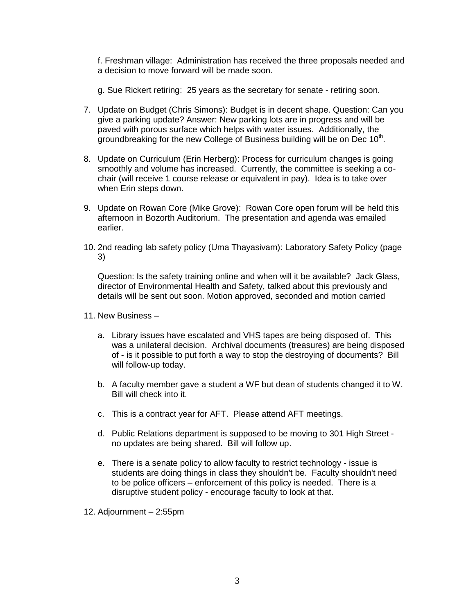f. Freshman village: Administration has received the three proposals needed and a decision to move forward will be made soon.

g. Sue Rickert retiring:25 years as the secretary for senate - retiring soon.

- 7. Update on Budget (Chris Simons): Budget is in decent shape. Question: Can you give a parking update? Answer: New parking lots are in progress and will be paved with porous surface which helps with water issues. Additionally, the groundbreaking for the new College of Business building will be on Dec 10<sup>th</sup>.
- 8. Update on Curriculum (Erin Herberg): Process for curriculum changes is going smoothly and volume has increased. Currently, the committee is seeking a cochair (will receive 1 course release or equivalent in pay). Idea is to take over when Erin steps down.
- 9. Update on Rowan Core (Mike Grove): Rowan Core open forum will be held this afternoon in Bozorth Auditorium. The presentation and agenda was emailed earlier.
- 10. 2nd reading lab safety policy (Uma Thayasivam): Laboratory Safety Policy (page 3)

Question: Is the safety training online and when will it be available? Jack Glass, director of Environmental Health and Safety, talked about this previously and details will be sent out soon. Motion approved, seconded and motion carried

- 11. New Business
	- a. Library issues have escalated and VHS tapes are being disposed of. This was a unilateral decision. Archival documents (treasures) are being disposed of - is it possible to put forth a way to stop the destroying of documents? Bill will follow-up today.
	- b. A faculty member gave a student a WF but dean of students changed it to W. Bill will check into it.
	- c. This is a contract year for AFT. Please attend AFT meetings.
	- d. Public Relations department is supposed to be moving to 301 High Street no updates are being shared. Bill will follow up.
	- e. There is a senate policy to allow faculty to restrict technology issue is students are doing things in class they shouldn't be. Faculty shouldn't need to be police officers – enforcement of this policy is needed. There is a disruptive student policy - encourage faculty to look at that.

12. Adjournment – 2:55pm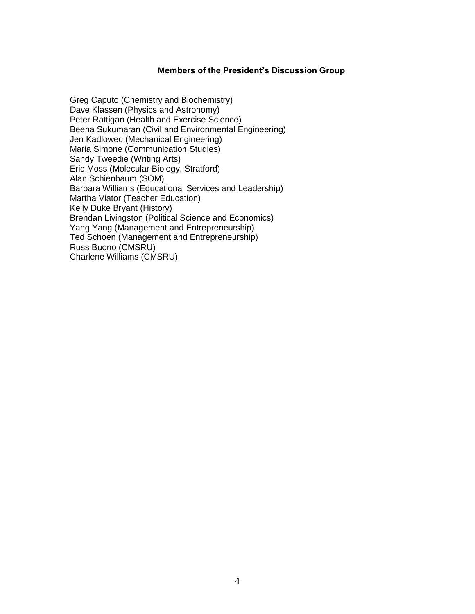#### **Members of the President's Discussion Group**

Greg Caputo (Chemistry and Biochemistry) Dave Klassen (Physics and Astronomy) Peter Rattigan (Health and Exercise Science) Beena Sukumaran (Civil and Environmental Engineering) Jen Kadlowec (Mechanical Engineering) Maria Simone (Communication Studies) Sandy Tweedie (Writing Arts) Eric Moss (Molecular Biology, Stratford) Alan Schienbaum (SOM) Barbara Williams (Educational Services and Leadership) Martha Viator (Teacher Education) Kelly Duke Bryant (History) Brendan Livingston (Political Science and Economics) Yang Yang (Management and Entrepreneurship) Ted Schoen (Management and Entrepreneurship) Russ Buono (CMSRU) Charlene Williams (CMSRU)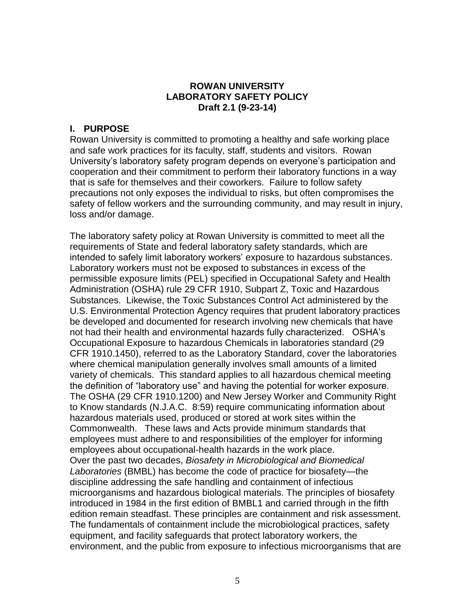### **ROWAN UNIVERSITY LABORATORY SAFETY POLICY Draft 2.1 (9-23-14)**

## **I. PURPOSE**

Rowan University is committed to promoting a healthy and safe working place and safe work practices for its faculty, staff, students and visitors. Rowan University's laboratory safety program depends on everyone's participation and cooperation and their commitment to perform their laboratory functions in a way that is safe for themselves and their coworkers. Failure to follow safety precautions not only exposes the individual to risks, but often compromises the safety of fellow workers and the surrounding community, and may result in injury, loss and/or damage.

The laboratory safety policy at Rowan University is committed to meet all the requirements of State and federal laboratory safety standards, which are intended to safely limit laboratory workers' exposure to hazardous substances. Laboratory workers must not be exposed to substances in excess of the permissible exposure limits (PEL) specified in Occupational Safety and Health Administration (OSHA) rule 29 CFR 1910, Subpart Z, Toxic and Hazardous Substances. Likewise, the Toxic Substances Control Act administered by the U.S. Environmental Protection Agency requires that prudent laboratory practices be developed and documented for research involving new chemicals that have not had their health and environmental hazards fully characterized. OSHA's Occupational Exposure to hazardous Chemicals in laboratories standard (29 CFR 1910.1450), referred to as the Laboratory Standard, cover the laboratories where chemical manipulation generally involves small amounts of a limited variety of chemicals. This standard applies to all hazardous chemical meeting the definition of "laboratory use" and having the potential for worker exposure. The OSHA (29 CFR 1910.1200) and New Jersey Worker and Community Right to Know standards (N.J.A.C. 8:59) require communicating information about hazardous materials used, produced or stored at work sites within the Commonwealth. These laws and Acts provide minimum standards that employees must adhere to and responsibilities of the employer for informing employees about occupational-health hazards in the work place. Over the past two decades, *Biosafety in Microbiological and Biomedical Laboratories* (BMBL) has become the code of practice for biosafety—the discipline addressing the safe handling and containment of infectious microorganisms and hazardous biological materials. The principles of biosafety introduced in 1984 in the first edition of BMBL1 and carried through in the fifth edition remain steadfast. These principles are containment and risk assessment. The fundamentals of containment include the microbiological practices, safety equipment, and facility safeguards that protect laboratory workers, the environment, and the public from exposure to infectious microorganisms that are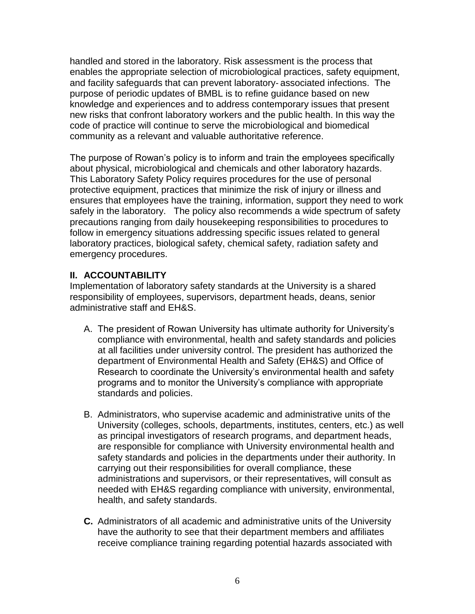handled and stored in the laboratory. Risk assessment is the process that enables the appropriate selection of microbiological practices, safety equipment, and facility safeguards that can prevent laboratory‐ associated infections. The purpose of periodic updates of BMBL is to refine guidance based on new knowledge and experiences and to address contemporary issues that present new risks that confront laboratory workers and the public health. In this way the code of practice will continue to serve the microbiological and biomedical community as a relevant and valuable authoritative reference.

The purpose of Rowan's policy is to inform and train the employees specifically about physical, microbiological and chemicals and other laboratory hazards. This Laboratory Safety Policy requires procedures for the use of personal protective equipment, practices that minimize the risk of injury or illness and ensures that employees have the training, information, support they need to work safely in the laboratory. The policy also recommends a wide spectrum of safety precautions ranging from daily housekeeping responsibilities to procedures to follow in emergency situations addressing specific issues related to general laboratory practices, biological safety, chemical safety, radiation safety and emergency procedures.

## **II. ACCOUNTABILITY**

Implementation of laboratory safety standards at the University is a shared responsibility of employees, supervisors, department heads, deans, senior administrative staff and EH&S.

- A. The president of Rowan University has ultimate authority for University's compliance with environmental, health and safety standards and policies at all facilities under university control. The president has authorized the department of Environmental Health and Safety (EH&S) and Office of Research to coordinate the University's environmental health and safety programs and to monitor the University's compliance with appropriate standards and policies.
- B. Administrators, who supervise academic and administrative units of the University (colleges, schools, departments, institutes, centers, etc.) as well as principal investigators of research programs, and department heads, are responsible for compliance with University environmental health and safety standards and policies in the departments under their authority. In carrying out their responsibilities for overall compliance, these administrations and supervisors, or their representatives, will consult as needed with EH&S regarding compliance with university, environmental, health, and safety standards.
- **C.** Administrators of all academic and administrative units of the University have the authority to see that their department members and affiliates receive compliance training regarding potential hazards associated with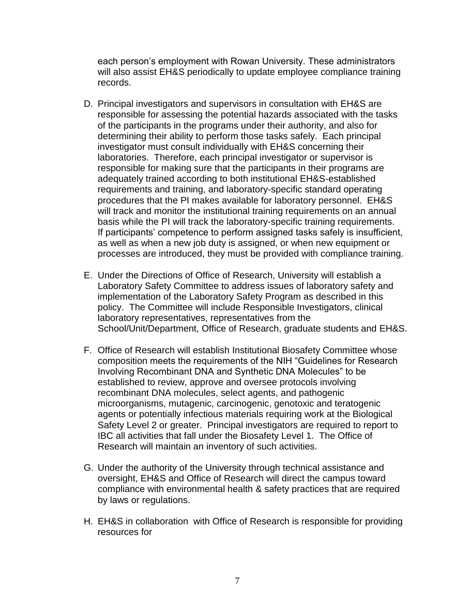each person's employment with Rowan University. These administrators will also assist EH&S periodically to update employee compliance training records.

- D. Principal investigators and supervisors in consultation with EH&S are responsible for assessing the potential hazards associated with the tasks of the participants in the programs under their authority, and also for determining their ability to perform those tasks safely. Each principal investigator must consult individually with EH&S concerning their laboratories. Therefore, each principal investigator or supervisor is responsible for making sure that the participants in their programs are adequately trained according to both institutional EH&S-established requirements and training, and laboratory-specific standard operating procedures that the PI makes available for laboratory personnel. EH&S will track and monitor the institutional training requirements on an annual basis while the PI will track the laboratory-specific training requirements. If participants' competence to perform assigned tasks safely is insufficient, as well as when a new job duty is assigned, or when new equipment or processes are introduced, they must be provided with compliance training.
- E. Under the Directions of Office of Research, University will establish a Laboratory Safety Committee to address issues of laboratory safety and implementation of the Laboratory Safety Program as described in this policy. The Committee will include Responsible Investigators, clinical laboratory representatives, representatives from the School/Unit/Department, Office of Research, graduate students and EH&S.
- F. Office of Research will establish Institutional Biosafety Committee whose composition meets the requirements of the NIH "Guidelines for Research Involving Recombinant DNA and Synthetic DNA Molecules" to be established to review, approve and oversee protocols involving recombinant DNA molecules, select agents, and pathogenic microorganisms, mutagenic, carcinogenic, genotoxic and teratogenic agents or potentially infectious materials requiring work at the Biological Safety Level 2 or greater. Principal investigators are required to report to IBC all activities that fall under the Biosafety Level 1. The Office of Research will maintain an inventory of such activities.
- G. Under the authority of the University through technical assistance and oversight, EH&S and Office of Research will direct the campus toward compliance with environmental health & safety practices that are required by laws or regulations.
- H. EH&S in collaboration with Office of Research is responsible for providing resources for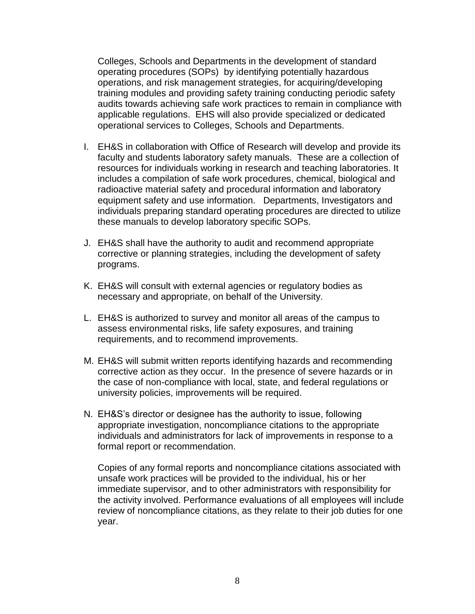Colleges, Schools and Departments in the development of standard operating procedures (SOPs) by identifying potentially hazardous operations, and risk management strategies, for acquiring/developing training modules and providing safety training conducting periodic safety audits towards achieving safe work practices to remain in compliance with applicable regulations. EHS will also provide specialized or dedicated operational services to Colleges, Schools and Departments.

- I. EH&S in collaboration with Office of Research will develop and provide its faculty and students laboratory safety manuals. These are a collection of resources for individuals working in research and teaching laboratories. It includes a compilation of safe work procedures, chemical, biological and radioactive material safety and procedural information and laboratory equipment safety and use information. Departments, Investigators and individuals preparing standard operating procedures are directed to utilize these manuals to develop laboratory specific SOPs.
- J. EH&S shall have the authority to audit and recommend appropriate corrective or planning strategies, including the development of safety programs.
- K. EH&S will consult with external agencies or regulatory bodies as necessary and appropriate, on behalf of the University.
- L. EH&S is authorized to survey and monitor all areas of the campus to assess environmental risks, life safety exposures, and training requirements, and to recommend improvements.
- M. EH&S will submit written reports identifying hazards and recommending corrective action as they occur. In the presence of severe hazards or in the case of non-compliance with local, state, and federal regulations or university policies, improvements will be required.
- N. EH&S's director or designee has the authority to issue, following appropriate investigation, noncompliance citations to the appropriate individuals and administrators for lack of improvements in response to a formal report or recommendation.

Copies of any formal reports and noncompliance citations associated with unsafe work practices will be provided to the individual, his or her immediate supervisor, and to other administrators with responsibility for the activity involved. Performance evaluations of all employees will include review of noncompliance citations, as they relate to their job duties for one year.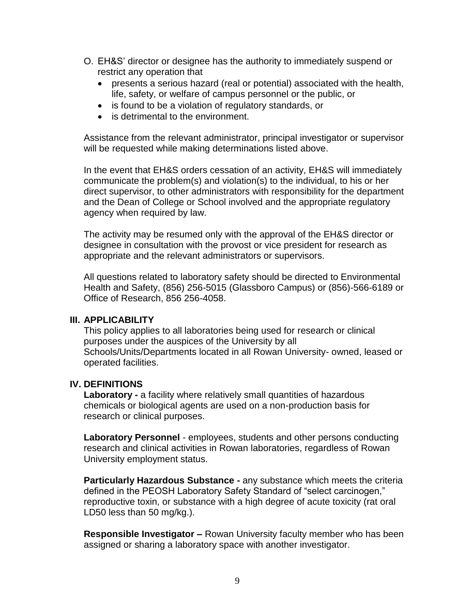- O. EH&S' director or designee has the authority to immediately suspend or restrict any operation that
	- presents a serious hazard (real or potential) associated with the health, life, safety, or welfare of campus personnel or the public, or
	- is found to be a violation of regulatory standards, or
	- is detrimental to the environment.

Assistance from the relevant administrator, principal investigator or supervisor will be requested while making determinations listed above.

In the event that EH&S orders cessation of an activity, EH&S will immediately communicate the problem(s) and violation(s) to the individual, to his or her direct supervisor, to other administrators with responsibility for the department and the Dean of College or School involved and the appropriate regulatory agency when required by law.

The activity may be resumed only with the approval of the EH&S director or designee in consultation with the provost or vice president for research as appropriate and the relevant administrators or supervisors.

All questions related to laboratory safety should be directed to Environmental Health and Safety, (856) 256-5015 (Glassboro Campus) or (856)-566-6189 or Office of Research, 856 256-4058.

### **III. APPLICABILITY**

This policy applies to all laboratories being used for research or clinical purposes under the auspices of the University by all Schools/Units/Departments located in all Rowan University- owned, leased or operated facilities.

## **IV. DEFINITIONS**

**Laboratory -** a facility where relatively small quantities of hazardous chemicals or biological agents are used on a non-production basis for research or clinical purposes.

**Laboratory Personnel** - employees, students and other persons conducting research and clinical activities in Rowan laboratories, regardless of Rowan University employment status.

**Particularly Hazardous Substance -** any substance which meets the criteria defined in the PEOSH Laboratory Safety Standard of "select carcinogen," reproductive toxin, or substance with a high degree of acute toxicity (rat oral LD50 less than 50 mg/kg.).

**Responsible Investigator –** Rowan University faculty member who has been assigned or sharing a laboratory space with another investigator.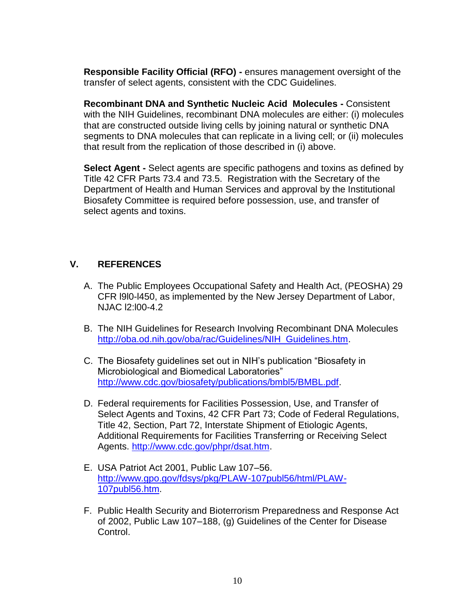**Responsible Facility Official (RFO) -** ensures management oversight of the transfer of select agents, consistent with the CDC Guidelines.

**Recombinant DNA and Synthetic Nucleic Acid Molecules -** Consistent with the NIH Guidelines, recombinant DNA molecules are either: (i) molecules that are constructed outside living cells by joining natural or synthetic DNA segments to DNA molecules that can replicate in a living cell; or (ii) molecules that result from the replication of those described in (i) above.

**Select Agent -** Select agents are specific pathogens and toxins as defined by Title 42 CFR Parts 73.4 and 73.5. Registration with the Secretary of the Department of Health and Human Services and approval by the Institutional Biosafety Committee is required before possession, use, and transfer of select agents and toxins.

# **V. REFERENCES**

- A. The Public Employees Occupational Safety and Health Act, (PEOSHA) 29 CFR l9l0-l450, as implemented by the New Jersey Department of Labor, NJAC l2:l00-4.2
- B. The NIH Guidelines for Research Involving Recombinant DNA Molecules [http://oba.od.nih.gov/oba/rac/Guidelines/NIH\\_Guidelines.htm.](http://oba.od.nih.gov/oba/rac/Guidelines/NIH_Guidelines.htm)
- C. The Biosafety guidelines set out in NIH's publication "Biosafety in Microbiological and Biomedical Laboratories" [http://www.cdc.gov/biosafety/publications/bmbl5/BMBL.pdf.](http://www.cdc.gov/biosafety/publications/bmbl5/BMBL.pdf)
- D. Federal requirements for Facilities Possession, Use, and Transfer of Select Agents and Toxins, 42 CFR Part 73; Code of Federal Regulations, Title 42, Section, Part 72, Interstate Shipment of Etiologic Agents, Additional Requirements for Facilities Transferring or Receiving Select Agents. [http://www.cdc.gov/phpr/dsat.htm.](http://www.cdc.gov/phpr/dsat.htm)
- E. USA Patriot Act 2001, Public Law 107–56. [http://www.gpo.gov/fdsys/pkg/PLAW-107publ56/html/PLAW-](http://www.gpo.gov/fdsys/pkg/PLAW-107publ56/html/PLAW-107publ56.htm)[107publ56.htm.](http://www.gpo.gov/fdsys/pkg/PLAW-107publ56/html/PLAW-107publ56.htm)
- F. Public Health Security and Bioterrorism Preparedness and Response Act of 2002, Public Law 107–188, (g) Guidelines of the Center for Disease Control.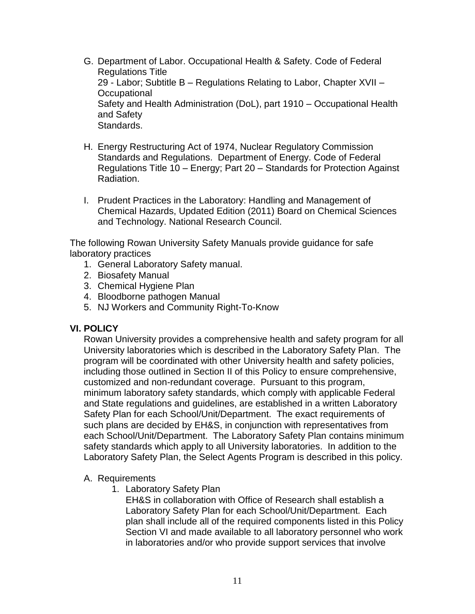- G. Department of Labor. Occupational Health & Safety. Code of Federal Regulations Title 29 - Labor; Subtitle B – Regulations Relating to Labor, Chapter XVII – **Occupational** Safety and Health Administration (DoL), part 1910 – Occupational Health and Safety Standards.
- H. Energy Restructuring Act of 1974, Nuclear Regulatory Commission Standards and Regulations. Department of Energy. Code of Federal Regulations Title 10 – Energy; Part 20 – Standards for Protection Against Radiation.
- I. Prudent Practices in the Laboratory: Handling and Management of Chemical Hazards, Updated Edition (2011) Board on Chemical Sciences and Technology. National Research Council.

The following Rowan University Safety Manuals provide guidance for safe laboratory practices

- 1. General Laboratory Safety manual.
- 2. Biosafety Manual
- 3. Chemical Hygiene Plan
- 4. Bloodborne pathogen Manual
- 5. NJ Workers and Community Right-To-Know

## **VI. POLICY**

Rowan University provides a comprehensive health and safety program for all University laboratories which is described in the Laboratory Safety Plan. The program will be coordinated with other University health and safety policies, including those outlined in Section II of this Policy to ensure comprehensive, customized and non-redundant coverage. Pursuant to this program, minimum laboratory safety standards, which comply with applicable Federal and State regulations and guidelines, are established in a written Laboratory Safety Plan for each School/Unit/Department. The exact requirements of such plans are decided by EH&S, in conjunction with representatives from each School/Unit/Department. The Laboratory Safety Plan contains minimum safety standards which apply to all University laboratories. In addition to the Laboratory Safety Plan, the Select Agents Program is described in this policy.

### A. Requirements

1. Laboratory Safety Plan

EH&S in collaboration with Office of Research shall establish a Laboratory Safety Plan for each School/Unit/Department. Each plan shall include all of the required components listed in this Policy Section VI and made available to all laboratory personnel who work in laboratories and/or who provide support services that involve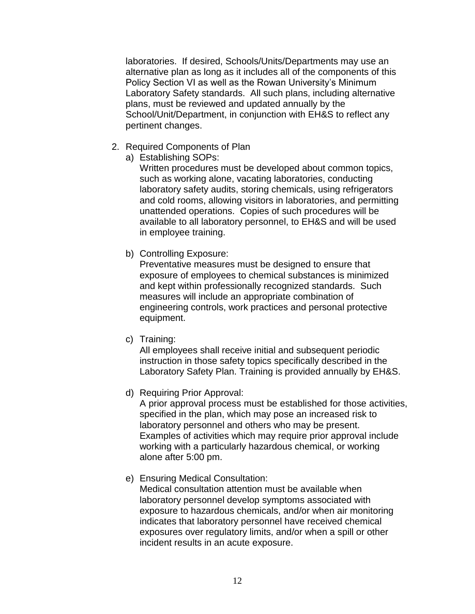laboratories. If desired, Schools/Units/Departments may use an alternative plan as long as it includes all of the components of this Policy Section VI as well as the Rowan University's Minimum Laboratory Safety standards. All such plans, including alternative plans, must be reviewed and updated annually by the School/Unit/Department, in conjunction with EH&S to reflect any pertinent changes.

- 2. Required Components of Plan
	- a) Establishing SOPs:

Written procedures must be developed about common topics, such as working alone, vacating laboratories, conducting laboratory safety audits, storing chemicals, using refrigerators and cold rooms, allowing visitors in laboratories, and permitting unattended operations. Copies of such procedures will be available to all laboratory personnel, to EH&S and will be used in employee training.

b) Controlling Exposure:

Preventative measures must be designed to ensure that exposure of employees to chemical substances is minimized and kept within professionally recognized standards. Such measures will include an appropriate combination of engineering controls, work practices and personal protective equipment.

c) Training:

All employees shall receive initial and subsequent periodic instruction in those safety topics specifically described in the Laboratory Safety Plan. Training is provided annually by EH&S.

d) Requiring Prior Approval:

A prior approval process must be established for those activities, specified in the plan, which may pose an increased risk to laboratory personnel and others who may be present. Examples of activities which may require prior approval include working with a particularly hazardous chemical, or working alone after 5:00 pm.

e) Ensuring Medical Consultation:

Medical consultation attention must be available when laboratory personnel develop symptoms associated with exposure to hazardous chemicals, and/or when air monitoring indicates that laboratory personnel have received chemical exposures over regulatory limits, and/or when a spill or other incident results in an acute exposure.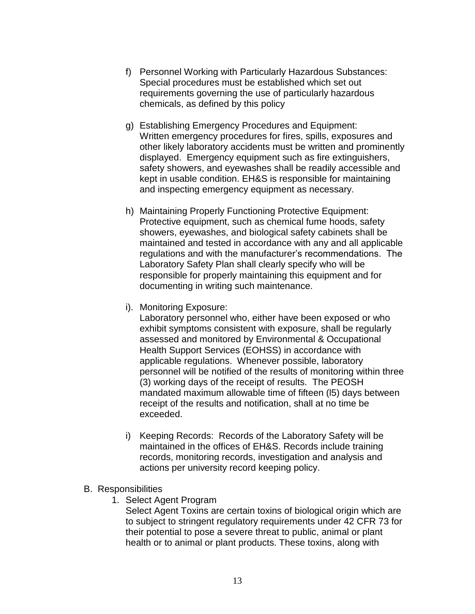- f) Personnel Working with Particularly Hazardous Substances: Special procedures must be established which set out requirements governing the use of particularly hazardous chemicals, as defined by this policy
- g) Establishing Emergency Procedures and Equipment: Written emergency procedures for fires, spills, exposures and other likely laboratory accidents must be written and prominently displayed. Emergency equipment such as fire extinguishers, safety showers, and eyewashes shall be readily accessible and kept in usable condition. EH&S is responsible for maintaining and inspecting emergency equipment as necessary.
- h) Maintaining Properly Functioning Protective Equipment: Protective equipment, such as chemical fume hoods, safety showers, eyewashes, and biological safety cabinets shall be maintained and tested in accordance with any and all applicable regulations and with the manufacturer's recommendations. The Laboratory Safety Plan shall clearly specify who will be responsible for properly maintaining this equipment and for documenting in writing such maintenance.
- i). Monitoring Exposure:

Laboratory personnel who, either have been exposed or who exhibit symptoms consistent with exposure, shall be regularly assessed and monitored by Environmental & Occupational Health Support Services (EOHSS) in accordance with applicable regulations. Whenever possible, laboratory personnel will be notified of the results of monitoring within three (3) working days of the receipt of results. The PEOSH mandated maximum allowable time of fifteen (l5) days between receipt of the results and notification, shall at no time be exceeded.

- i) Keeping Records: Records of the Laboratory Safety will be maintained in the offices of EH&S. Records include training records, monitoring records, investigation and analysis and actions per university record keeping policy.
- B. Responsibilities
	- 1. Select Agent Program

Select Agent Toxins are certain toxins of biological origin which are to subject to stringent regulatory requirements under 42 CFR 73 for their potential to pose a severe threat to public, animal or plant health or to animal or plant products. These toxins, along with